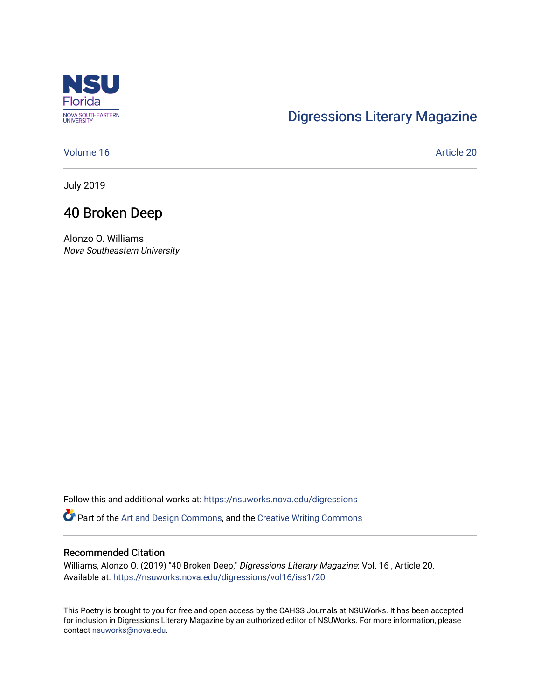

# [Digressions Literary Magazine](https://nsuworks.nova.edu/digressions)

[Volume 16](https://nsuworks.nova.edu/digressions/vol16) Article 20

July 2019

## 40 Broken Deep

Alonzo O. Williams Nova Southeastern University

Follow this and additional works at: [https://nsuworks.nova.edu/digressions](https://nsuworks.nova.edu/digressions?utm_source=nsuworks.nova.edu%2Fdigressions%2Fvol16%2Fiss1%2F20&utm_medium=PDF&utm_campaign=PDFCoverPages) 

Part of the [Art and Design Commons](http://network.bepress.com/hgg/discipline/1049?utm_source=nsuworks.nova.edu%2Fdigressions%2Fvol16%2Fiss1%2F20&utm_medium=PDF&utm_campaign=PDFCoverPages), and the [Creative Writing Commons](http://network.bepress.com/hgg/discipline/574?utm_source=nsuworks.nova.edu%2Fdigressions%2Fvol16%2Fiss1%2F20&utm_medium=PDF&utm_campaign=PDFCoverPages)

#### Recommended Citation

Williams, Alonzo O. (2019) "40 Broken Deep," Digressions Literary Magazine: Vol. 16 , Article 20. Available at: [https://nsuworks.nova.edu/digressions/vol16/iss1/20](https://nsuworks.nova.edu/digressions/vol16/iss1/20?utm_source=nsuworks.nova.edu%2Fdigressions%2Fvol16%2Fiss1%2F20&utm_medium=PDF&utm_campaign=PDFCoverPages)

This Poetry is brought to you for free and open access by the CAHSS Journals at NSUWorks. It has been accepted for inclusion in Digressions Literary Magazine by an authorized editor of NSUWorks. For more information, please contact [nsuworks@nova.edu.](mailto:nsuworks@nova.edu)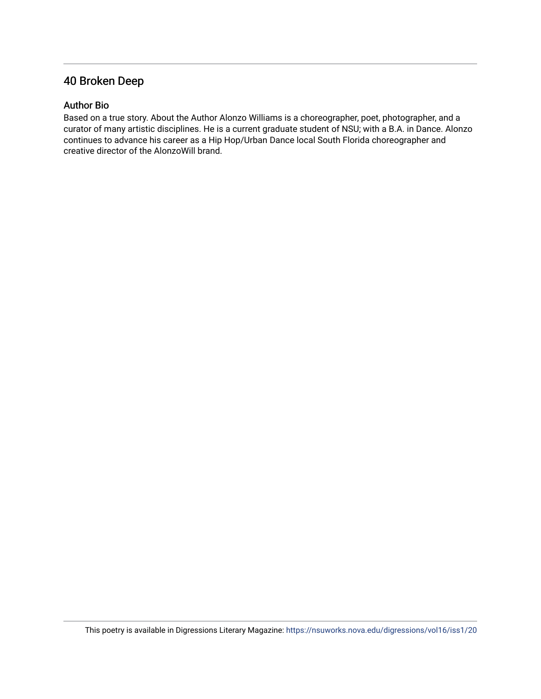## 40 Broken Deep

### Author Bio

Based on a true story. About the Author Alonzo Williams is a choreographer, poet, photographer, and a curator of many artistic disciplines. He is a current graduate student of NSU; with a B.A. in Dance. Alonzo continues to advance his career as a Hip Hop/Urban Dance local South Florida choreographer and creative director of the AlonzoWill brand.